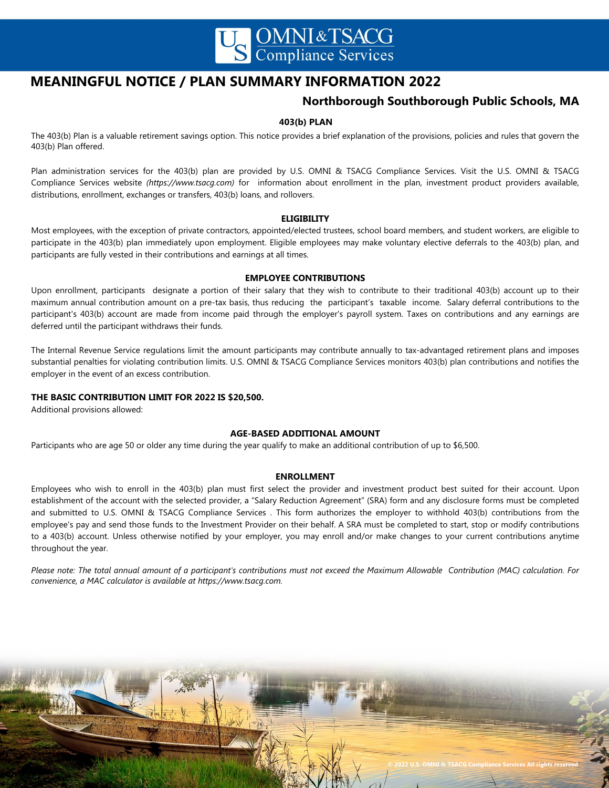

# **MEANINGFUL NOTICE / PLAN SUMMARY INFORMATION 2022**

## **Northborough Southborough Public Schools, MA**

## **403(b) PLAN**

The 403(b) Plan is a valuable retirement savings option. This notice provides a brief explanation of the provisions, policies and rules that govern the 403(b) Plan offered.

Plan administration services for the 403(b) plan are provided by U.S. OMNI & TSACG Compliance Services. Visit the U.S. OMNI & TSACG Compliance Services website *(https://www.tsacg.com)* for information about enrollment in the plan, investment product providers available, distributions, enrollment, exchanges or transfers, 403(b) loans, and rollovers.

### **ELIGIBILITY**

Most employees, with the exception of private contractors, appointed/elected trustees, school board members, and student workers, are eligible to participate in the 403(b) plan immediately upon employment. Eligible employees may make voluntary elective deferrals to the 403(b) plan, and participants are fully vested in their contributions and earnings at all times.

## **EMPLOYEE CONTRIBUTIONS**

Upon enrollment, participants designate a portion of their salary that they wish to contribute to their traditional 403(b) account up to their maximum annual contribution amount on a pre-tax basis, thus reducing the participant's taxable income. Salary deferral contributions to the participant's 403(b) account are made from income paid through the employer's payroll system. Taxes on contributions and any earnings are deferred until the participant withdraws their funds.

The Internal Revenue Service regulations limit the amount participants may contribute annually to tax-advantaged retirement plans and imposes substantial penalties for violating contribution limits. U.S. OMNI & TSACG Compliance Services monitors 403(b) plan contributions and notifies the employer in the event of an excess contribution.

## **THE BASIC CONTRIBUTION LIMIT FOR 2022 IS \$20,500.**

Additional provisions allowed:

## **AGE-BASED ADDITIONAL AMOUNT**

Participants who are age 50 or older any time during the year qualify to make an additional contribution of up to \$6,500.

# **ENROLLMENT ENROLLMENT**

Employees who wish to enroll in the employer's Supplemental 403(b) Retirement Plan must first select the provider and investment product best Employees who wish to enroll in the 403(b) plan must first select the provider and investment product best suited for their account. Upon establishment of the account with the selected provider, a "Salary Reduction Agreement" (SRA) form and any disclosure forms must be completed and submitted to b.b. binity of Islaco compliance services. This form additionales the employer to withhold 400(b) contributions from the employee's pay and send those funds to the Investment Provider on their behalf. A SRA must be completed to start, stop or modify contributions to a 403(b) account. Unless otherwise notified by your employer, you may enroll and/or make changes to your current contributions anytime<br>. and submitted to U.S. OMNI & TSACG Compliance Services . This form authorizes the employer to withhold 403(b) contributions from the throughout the year.

.<br>Please note: The total annual amount of a participant's contributions must not exceed the Maximum Allowable Contribution (MAC) calculation. For *convenience, a MAC calculator is available at https://www.tsacg.com. convenience, a MAC calculator is available at https://www.tsacg.com.*